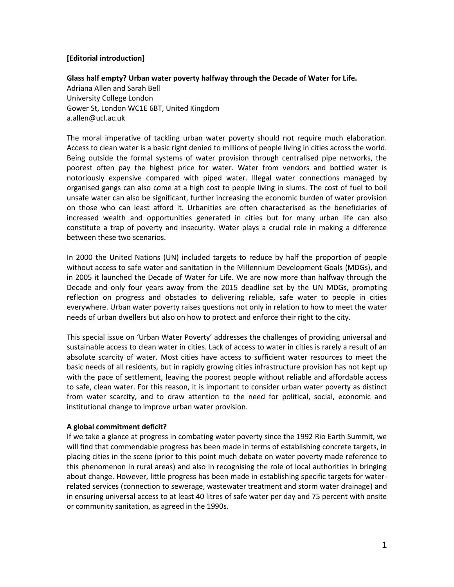#### **[Editorial introduction]**

#### **Glass half empty? Urban water poverty halfway through the Decade of Water for Life.**

Adriana Allen and Sarah Bell University College London Gower St, London WC1E 6BT, United Kingdom a.allen@ucl.ac.uk

The moral imperative of tackling urban water poverty should not require much elaboration. Access to clean water is a basic right denied to millions of people living in cities across the world. Being outside the formal systems of water provision through centralised pipe networks, the poorest often pay the highest price for water. Water from vendors and bottled water is notoriously expensive compared with piped water. Illegal water connections managed by organised gangs can also come at a high cost to people living in slums. The cost of fuel to boil unsafe water can also be significant, further increasing the economic burden of water provision on those who can least afford it. Urbanities are often characterised as the beneficiaries of increased wealth and opportunities generated in cities but for many urban life can also constitute a trap of poverty and insecurity. Water plays a crucial role in making a difference between these two scenarios.

In 2000 the United Nations (UN) included targets to reduce by half the proportion of people without access to safe water and sanitation in the Millennium Development Goals (MDGs), and in 2005 it launched the Decade of Water for Life. We are now more than halfway through the Decade and only four years away from the 2015 deadline set by the UN MDGs, prompting reflection on progress and obstacles to delivering reliable, safe water to people in cities everywhere. Urban water poverty raises questions not only in relation to how to meet the water needs of urban dwellers but also on how to protect and enforce their right to the city.

This special issue on 'Urban Water Poverty' addresses the challenges of providing universal and sustainable access to clean water in cities. Lack of access to water in cities is rarely a result of an absolute scarcity of water. Most cities have access to sufficient water resources to meet the basic needs of all residents, but in rapidly growing cities infrastructure provision has not kept up with the pace of settlement, leaving the poorest people without reliable and affordable access to safe, clean water. For this reason, it is important to consider urban water poverty as distinct from water scarcity, and to draw attention to the need for political, social, economic and institutional change to improve urban water provision.

# **A global commitment deficit?**

If we take a glance at progress in combating water poverty since the 1992 Rio Earth Summit, we will find that commendable progress has been made in terms of establishing concrete targets, in placing cities in the scene (prior to this point much debate on water poverty made reference to this phenomenon in rural areas) and also in recognising the role of local authorities in bringing about change. However, little progress has been made in establishing specific targets for waterrelated services (connection to sewerage, wastewater treatment and storm water drainage) and in ensuring universal access to at least 40 litres of safe water per day and 75 percent with onsite or community sanitation, as agreed in the 1990s.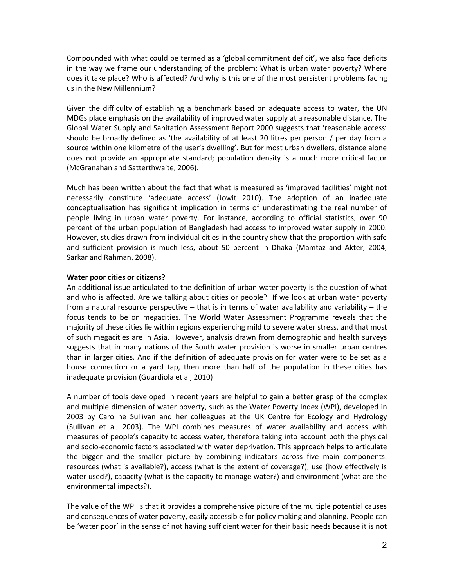Compounded with what could be termed as a 'global commitment deficit', we also face deficits in the way we frame our understanding of the problem: What is urban water poverty? Where does it take place? Who is affected? And why is this one of the most persistent problems facing us in the New Millennium?

Given the difficulty of establishing a benchmark based on adequate access to water, the UN MDGs place emphasis on the availability of improved water supply at a reasonable distance. The Global Water Supply and Sanitation Assessment Report 2000 suggests that 'reasonable access' should be broadly defined as 'the availability of at least 20 litres per person / per day from a source within one kilometre of the user's dwelling'. But for most urban dwellers, distance alone does not provide an appropriate standard; population density is a much more critical factor (McGranahan and Satterthwaite, 2006).

Much has been written about the fact that what is measured as 'improved facilities' might not necessarily constitute 'adequate access' (Jowit 2010). The adoption of an inadequate conceptualisation has significant implication in terms of underestimating the real number of people living in urban water poverty. For instance, according to official statistics, over 90 percent of the urban population of Bangladesh had access to improved water supply in 2000. However, studies drawn from individual cities in the country show that the proportion with safe and sufficient provision is much less, about 50 percent in Dhaka (Mamtaz and Akter, 2004; Sarkar and Rahman, 2008).

# **Water poor cities or citizens?**

An additional issue articulated to the definition of urban water poverty is the question of what and who is affected. Are we talking about cities or people? If we look at urban water poverty from a natural resource perspective – that is in terms of water availability and variability – the focus tends to be on megacities. The World Water Assessment Programme reveals that the majority of these cities lie within regions experiencing mild to severe water stress, and that most of such megacities are in Asia. However, analysis drawn from demographic and health surveys suggests that in many nations of the South water provision is worse in smaller urban centres than in larger cities. And if the definition of adequate provision for water were to be set as a house connection or a yard tap, then more than half of the population in these cities has inadequate provision (Guardiola et al, 2010)

A number of tools developed in recent years are helpful to gain a better grasp of the complex and multiple dimension of water poverty, such as the Water Poverty Index (WPI), developed in 2003 by Caroline Sullivan and her colleagues at the UK Centre for Ecology and Hydrology (Sullivan et al, 2003). The WPI combines measures of water availability and access with measures of people's capacity to access water, therefore taking into account both the physical and socio-economic factors associated with water deprivation. This approach helps to articulate the bigger and the smaller picture by combining indicators across five main components: resources (what is available?), access (what is the extent of coverage?), use (how effectively is water used?), capacity (what is the capacity to manage water?) and environment (what are the environmental impacts?).

The value of the WPI is that it provides a comprehensive picture of the multiple potential causes and consequences of water poverty, easily accessible for policy making and planning. People can be 'water poor' in the sense of not having sufficient water for their basic needs because it is not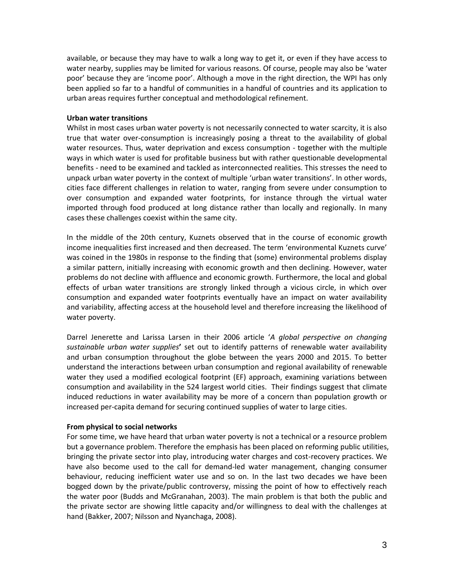available, or because they may have to walk a long way to get it, or even if they have access to water nearby, supplies may be limited for various reasons. Of course, people may also be 'water poor' because they are 'income poor'. Although a move in the right direction, the WPI has only been applied so far to a handful of communities in a handful of countries and its application to urban areas requires further conceptual and methodological refinement.

#### **Urban water transitions**

Whilst in most cases urban water poverty is not necessarily connected to water scarcity, it is also true that water over-consumption is increasingly posing a threat to the availability of global water resources. Thus, water deprivation and excess consumption - together with the multiple ways in which water is used for profitable business but with rather questionable developmental benefits - need to be examined and tackled as interconnected realities. This stresses the need to unpack urban water poverty in the context of multiple 'urban water transitions'. In other words, cities face different challenges in relation to water, ranging from severe under consumption to over consumption and expanded water footprints, for instance through the virtual water imported through food produced at long distance rather than locally and regionally. In many cases these challenges coexist within the same city.

In the middle of the 20th century, Kuznets observed that in the course of economic growth income inequalities first increased and then decreased. The term 'environmental Kuznets curve' was coined in the 1980s in response to the finding that (some) environmental problems display a similar pattern, initially increasing with economic growth and then declining. However, water problems do not decline with affluence and economic growth. Furthermore, the local and global effects of urban water transitions are strongly linked through a vicious circle, in which over consumption and expanded water footprints eventually have an impact on water availability and variability, affecting access at the household level and therefore increasing the likelihood of water poverty.

Darrel Jenerette and Larissa Larsen in their 2006 article '*A global perspective on changing sustainable urban water supplies***'** set out to identify patterns of renewable water availability and urban consumption throughout the globe between the years 2000 and 2015. To better understand the interactions between urban consumption and regional availability of renewable water they used a modified ecological footprint (EF) approach, examining variations between consumption and availability in the 524 largest world cities. Their findings suggest that climate induced reductions in water availability may be more of a concern than population growth or increased per-capita demand for securing continued supplies of water to large cities.

# **From physical to social networks**

For some time, we have heard that urban water poverty is not a technical or a resource problem but a governance problem. Therefore the emphasis has been placed on reforming public utilities, bringing the private sector into play, introducing water charges and cost-recovery practices. We have also become used to the call for demand-led water management, changing consumer behaviour, reducing inefficient water use and so on. In the last two decades we have been bogged down by the private/public controversy, missing the point of how to effectively reach the water poor (Budds and McGranahan, 2003). The main problem is that both the public and the private sector are showing little capacity and/or willingness to deal with the challenges at hand (Bakker, 2007; Nilsson and Nyanchaga, 2008).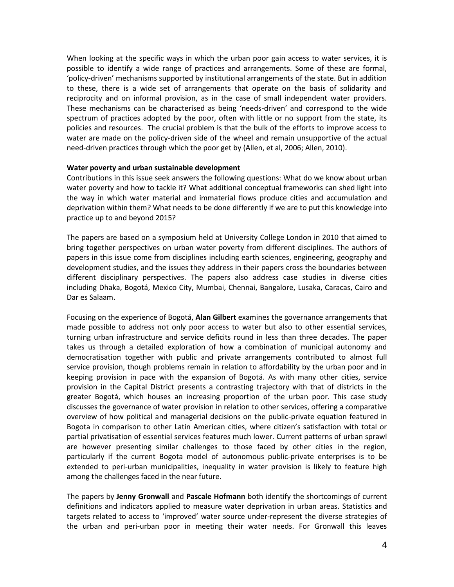When looking at the specific ways in which the urban poor gain access to water services, it is possible to identify a wide range of practices and arrangements. Some of these are formal, 'policy-driven' mechanisms supported by institutional arrangements of the state. But in addition to these, there is a wide set of arrangements that operate on the basis of solidarity and reciprocity and on informal provision, as in the case of small independent water providers. These mechanisms can be characterised as being 'needs-driven' and correspond to the wide spectrum of practices adopted by the poor, often with little or no support from the state, its policies and resources. The crucial problem is that the bulk of the efforts to improve access to water are made on the policy-driven side of the wheel and remain unsupportive of the actual need-driven practices through which the poor get by (Allen, et al, 2006; Allen, 2010).

#### **Water poverty and urban sustainable development**

Contributions in this issue seek answers the following questions: What do we know about urban water poverty and how to tackle it? What additional conceptual frameworks can shed light into the way in which water material and immaterial flows produce cities and accumulation and deprivation within them? What needs to be done differently if we are to put this knowledge into practice up to and beyond 2015?

The papers are based on a symposium held at University College London in 2010 that aimed to bring together perspectives on urban water poverty from different disciplines. The authors of papers in this issue come from disciplines including earth sciences, engineering, geography and development studies, and the issues they address in their papers cross the boundaries between different disciplinary perspectives. The papers also address case studies in diverse cities including Dhaka, Bogotá, Mexico City, Mumbai, Chennai, Bangalore, Lusaka, Caracas, Cairo and Dar es Salaam.

Focusing on the experience of Bogotá, **Alan Gilbert** examines the governance arrangements that made possible to address not only poor access to water but also to other essential services, turning urban infrastructure and service deficits round in less than three decades. The paper takes us through a detailed exploration of how a combination of municipal autonomy and democratisation together with public and private arrangements contributed to almost full service provision, though problems remain in relation to affordability by the urban poor and in keeping provision in pace with the expansion of Bogotá. As with many other cities, service provision in the Capital District presents a contrasting trajectory with that of districts in the greater Bogotá, which houses an increasing proportion of the urban poor. This case study discusses the governance of water provision in relation to other services, offering a comparative overview of how political and managerial decisions on the public-private equation featured in Bogota in comparison to other Latin American cities, where citizen's satisfaction with total or partial privatisation of essential services features much lower. Current patterns of urban sprawl are however presenting similar challenges to those faced by other cities in the region, particularly if the current Bogota model of autonomous public-private enterprises is to be extended to peri-urban municipalities, inequality in water provision is likely to feature high among the challenges faced in the near future.

The papers by **Jenny Gronwall** and **Pascale Hofmann** both identify the shortcomings of current definitions and indicators applied to measure water deprivation in urban areas. Statistics and targets related to access to 'improved' water source under-represent the diverse strategies of the urban and peri-urban poor in meeting their water needs. For Gronwall this leaves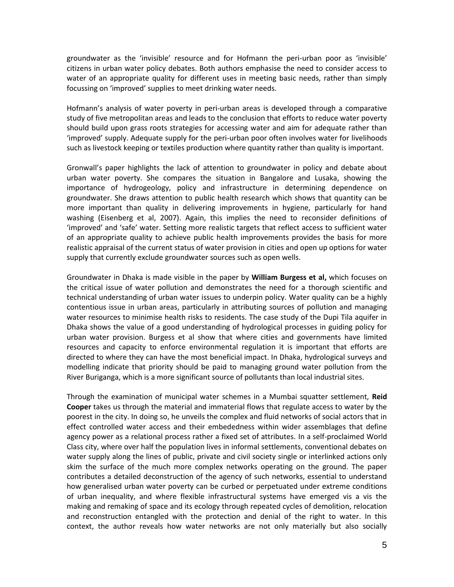groundwater as the 'invisible' resource and for Hofmann the peri-urban poor as 'invisible' citizens in urban water policy debates. Both authors emphasise the need to consider access to water of an appropriate quality for different uses in meeting basic needs, rather than simply focussing on 'improved' supplies to meet drinking water needs.

Hofmann's analysis of water poverty in peri-urban areas is developed through a comparative study of five metropolitan areas and leads to the conclusion that efforts to reduce water poverty should build upon grass roots strategies for accessing water and aim for adequate rather than 'improved' supply. Adequate supply for the peri-urban poor often involves water for livelihoods such as livestock keeping or textiles production where quantity rather than quality is important.

Gronwall's paper highlights the lack of attention to groundwater in policy and debate about urban water poverty. She compares the situation in Bangalore and Lusaka, showing the importance of hydrogeology, policy and infrastructure in determining dependence on groundwater. She draws attention to public health research which shows that quantity can be more important than quality in delivering improvements in hygiene, particularly for hand washing (Eisenberg et al, 2007). Again, this implies the need to reconsider definitions of 'improved' and 'safe' water. Setting more realistic targets that reflect access to sufficient water of an appropriate quality to achieve public health improvements provides the basis for more realistic appraisal of the current status of water provision in cities and open up options for water supply that currently exclude groundwater sources such as open wells.

Groundwater in Dhaka is made visible in the paper by **William Burgess et al,** which focuses on the critical issue of water pollution and demonstrates the need for a thorough scientific and technical understanding of urban water issues to underpin policy. Water quality can be a highly contentious issue in urban areas, particularly in attributing sources of pollution and managing water resources to minimise health risks to residents. The case study of the Dupi Tila aquifer in Dhaka shows the value of a good understanding of hydrological processes in guiding policy for urban water provision. Burgess et al show that where cities and governments have limited resources and capacity to enforce environmental regulation it is important that efforts are directed to where they can have the most beneficial impact. In Dhaka, hydrological surveys and modelling indicate that priority should be paid to managing ground water pollution from the River Buriganga, which is a more significant source of pollutants than local industrial sites.

Through the examination of municipal water schemes in a Mumbai squatter settlement, **Reid Cooper** takes us through the material and immaterial flows that regulate access to water by the poorest in the city. In doing so, he unveils the complex and fluid networks of social actors that in effect controlled water access and their embededness within wider assemblages that define agency power as a relational process rather a fixed set of attributes. In a self-proclaimed World Class city, where over half the population lives in informal settlements, conventional debates on water supply along the lines of public, private and civil society single or interlinked actions only skim the surface of the much more complex networks operating on the ground. The paper contributes a detailed deconstruction of the agency of such networks, essential to understand how generalised urban water poverty can be curbed or perpetuated under extreme conditions of urban inequality, and where flexible infrastructural systems have emerged vis a vis the making and remaking of space and its ecology through repeated cycles of demolition, relocation and reconstruction entangled with the protection and denial of the right to water. In this context, the author reveals how water networks are not only materially but also socially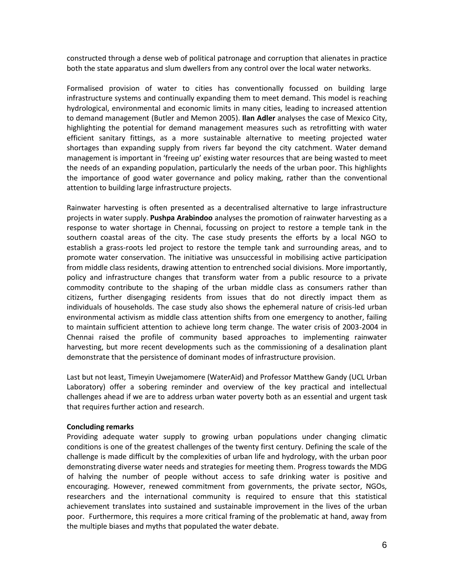constructed through a dense web of political patronage and corruption that alienates in practice both the state apparatus and slum dwellers from any control over the local water networks.

Formalised provision of water to cities has conventionally focussed on building large infrastructure systems and continually expanding them to meet demand. This model is reaching hydrological, environmental and economic limits in many cities, leading to increased attention to demand management (Butler and Memon 2005). **Ilan Adler** analyses the case of Mexico City, highlighting the potential for demand management measures such as retrofitting with water efficient sanitary fittings, as a more sustainable alternative to meeting projected water shortages than expanding supply from rivers far beyond the city catchment. Water demand management is important in 'freeing up' existing water resources that are being wasted to meet the needs of an expanding population, particularly the needs of the urban poor. This highlights the importance of good water governance and policy making, rather than the conventional attention to building large infrastructure projects.

Rainwater harvesting is often presented as a decentralised alternative to large infrastructure projects in water supply. **Pushpa Arabindoo** analyses the promotion of rainwater harvesting as a response to water shortage in Chennai, focussing on project to restore a temple tank in the southern coastal areas of the city. The case study presents the efforts by a local NGO to establish a grass-roots led project to restore the temple tank and surrounding areas, and to promote water conservation. The initiative was unsuccessful in mobilising active participation from middle class residents, drawing attention to entrenched social divisions. More importantly, policy and infrastructure changes that transform water from a public resource to a private commodity contribute to the shaping of the urban middle class as consumers rather than citizens, further disengaging residents from issues that do not directly impact them as individuals of households. The case study also shows the ephemeral nature of crisis-led urban environmental activism as middle class attention shifts from one emergency to another, failing to maintain sufficient attention to achieve long term change. The water crisis of 2003-2004 in Chennai raised the profile of community based approaches to implementing rainwater harvesting, but more recent developments such as the commissioning of a desalination plant demonstrate that the persistence of dominant modes of infrastructure provision.

Last but not least, Timeyin Uwejamomere (WaterAid) and Professor Matthew Gandy (UCL Urban Laboratory) offer a sobering reminder and overview of the key practical and intellectual challenges ahead if we are to address urban water poverty both as an essential and urgent task that requires further action and research.

# **Concluding remarks**

Providing adequate water supply to growing urban populations under changing climatic conditions is one of the greatest challenges of the twenty first century. Defining the scale of the challenge is made difficult by the complexities of urban life and hydrology, with the urban poor demonstrating diverse water needs and strategies for meeting them. Progress towards the MDG of halving the number of people without access to safe drinking water is positive and encouraging. However, renewed commitment from governments, the private sector, NGOs, researchers and the international community is required to ensure that this statistical achievement translates into sustained and sustainable improvement in the lives of the urban poor. Furthermore, this requires a more critical framing of the problematic at hand, away from the multiple biases and myths that populated the water debate.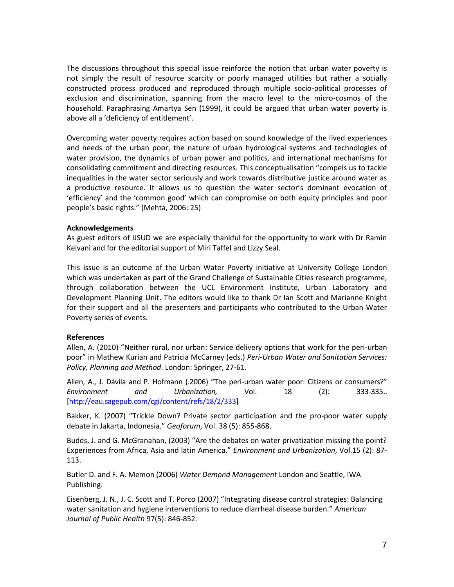The discussions throughout this special issue reinforce the notion that urban water poverty is not simply the result of resource scarcity or poorly managed utilities but rather a socially constructed process produced and reproduced through multiple socio-political processes of exclusion and discrimination, spanning from the macro level to the micro-cosmos of the household. Paraphrasing Amartya Sen (1999), it could be argued that urban water poverty is above all a 'deficiency of entitlement'.

Overcoming water poverty requires action based on sound knowledge of the lived experiences and needs of the urban poor, the nature of urban hydrological systems and technologies of water provision, the dynamics of urban power and politics, and international mechanisms for consolidating commitment and directing resources. This conceptualisation "compels us to tackle inequalities in the water sector seriously and work towards distributive justice around water as a productive resource. It allows us to question the water sector's dominant evocation of 'efficiency' and the 'common good' which can compromise on both equity principles and poor people's basic rights." (Mehta, 2006: 25)

# **Acknowledgements**

As guest editors of IJSUD we are especially thankful for the opportunity to work with Dr Ramin Keivani and for the editorial support of Miri Taffel and Lizzy Seal.

This issue is an outcome of the Urban Water Poverty initiative at University College London which was undertaken as part of the Grand Challenge of Sustainable Cities research programme, through collaboration between the UCL Environment Institute, Urban Laboratory and Development Planning Unit. The editors would like to thank Dr Ian Scott and Marianne Knight for their support and all the presenters and participants who contributed to the Urban Water Poverty series of events.

#### **References**

Allen, A. (2010) "Neither rural, nor urban: Service delivery options that work for the peri-urban poor" in Mathew Kurian and Patricia McCarney (eds.) *Peri-Urban Water and Sanitation Services: Policy, Planning and Method*. London: Springer, 27-61.

Allen, A., J. Dávila and P. Hofmann (.2006) "The peri-urban water poor: Citizens or consumers?" *Environment and Urbanization,* Vol. 18 (2): 333-335.. [http://eau.sagepub.com/cgi/content/refs/18/2/333]

Bakker, K. (2007) "Trickle Down? Private sector participation and the pro-poor water supply debate in Jakarta, Indonesia." *Geoforum*, Vol. 38 (5): 855-868.

Budds, J. and G. McGranahan, (2003) "Are the debates on water privatization missing the point? Experiences from Africa, Asia and latin America." *Environment and Urbanization*, Vol.15 (2): 87- 113.

Butler D. and F. A. Memon (2006) *Water Demond Management* London and Seattle, IWA Publishing.

Eisenberg, J. N., J. C. Scott and T. Porco (2007) "Integrating disease control strategies: Balancing water sanitation and hygiene interventions to reduce diarrheal disease burden." *American Journal of Public Health* 97(5): 846-852.